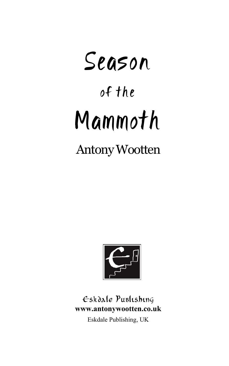# Season of the Mammoth

### Antony Wootten



#### Eskdale Publishing **www.antonywootten.co.uk**

Eskdale Publishing, UK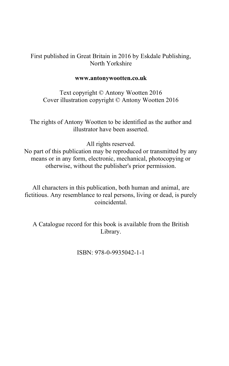#### First published in Great Britain in 2016 by Eskdale Publishing, North Yorkshire

#### **www.antonywootten.co.uk**

Text copyright © Antony Wootten 2016 Cover illustration copyright © Antony Wootten 2016

The rights of Antony Wootten to be identified as the author and illustrator have been asserted.

All rights reserved.

No part of this publication may be reproduced or transmitted by any means or in any form, electronic, mechanical, photocopying or otherwise, without the publisher's prior permission.

All characters in this publication, both human and animal, are fictitious. Any resemblance to real persons, living or dead, is purely coincidental.

A Catalogue record for this book is available from the British Library.

ISBN: 978-0-9935042-1-1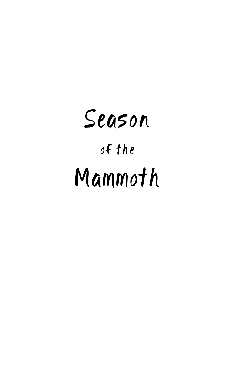# Season of the Mammoth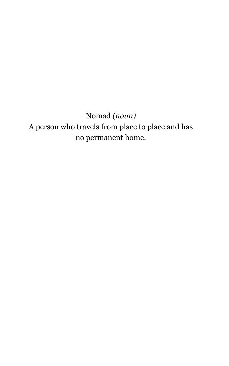Nomad *(noun)* A person who travels from place to place and has no [permanent](http://www.oxforddictionaries.com/definition/english/permanent#permanent__2) home.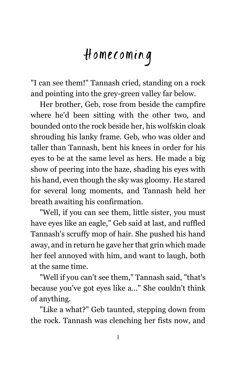## Homecoming

"I can see them!" Tannash cried, standing on a rock and pointing into the grey-green valley far below.

Her brother, Geb, rose from beside the campfire where he'd been sitting with the other two, and bounded onto the rock beside her, his wolfskin cloak shrouding his lanky frame. Geb, who was older and taller than Tannash, bent his knees in order for his eyes to be at the same level as hers. He made a big show of peering into the haze, shading his eyes with his hand, even though the sky was gloomy. He stared for several long moments, and Tannash held her breath awaiting his confirmation.

"Well, if you can see them, little sister, you must have eyes like an eagle," Geb said at last, and ruffled Tannash's scruffy mop of hair. She pushed his hand away, and in return he gave her that grin which made her feel annoyed with him, and want to laugh, both at the same time.

"Well if you can't see them," Tannash said, "that's because you've got eyes like a..." She couldn't think of anything.

"Like a what?" Geb taunted, stepping down from the rock. Tannash was clenching her fists now, and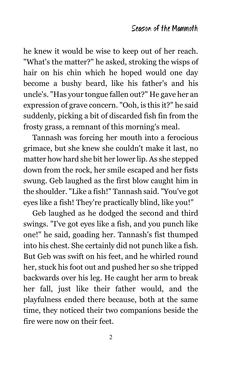he knew it would be wise to keep out of her reach. "What's the matter?" he asked, stroking the wisps of hair on his chin which he hoped would one day become a bushy beard, like his father's and his uncle's. "Has your tongue fallen out?" He gave her an expression of grave concern. "Ooh, is this it?" he said suddenly, picking a bit of discarded fish fin from the frosty grass, a remnant of this morning's meal.

Tannash was forcing her mouth into a ferocious grimace, but she knew she couldn't make it last, no matter how hard she bit her lower lip. As she stepped down from the rock, her smile escaped and her fists swung. Geb laughed as the first blow caught him in the shoulder. "Like a fish!" Tannash said. "You've got eyes like a fish! They're practically blind, like you!"

Geb laughed as he dodged the second and third swings. "I've got eyes like a fish, and you punch like one!" he said, goading her. Tannash's fist thumped into his chest. She certainly did not punch like a fish. But Geb was swift on his feet, and he whirled round her, stuck his foot out and pushed her so she tripped backwards over his leg. He caught her arm to break her fall, just like their father would, and the playfulness ended there because, both at the same time, they noticed their two companions beside the fire were now on their feet.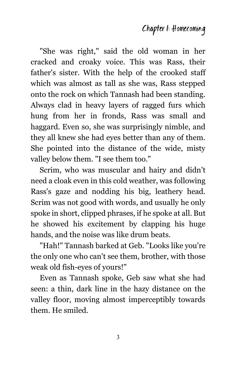"She was right," said the old woman in her cracked and croaky voice. This was Rass, their father's sister. With the help of the crooked staff which was almost as tall as she was, Rass stepped onto the rock on which Tannash had been standing. Always clad in heavy layers of ragged furs which hung from her in fronds, Rass was small and haggard. Even so, she was surprisingly nimble, and they all knew she had eyes better than any of them. She pointed into the distance of the wide, misty valley below them. "I see them too."

Scrim, who was muscular and hairy and didn't need a cloak even in this cold weather, was following Rass's gaze and nodding his big, leathery head. Scrim was not good with words, and usually he only spoke in short, clipped phrases, if he spoke at all. But he showed his excitement by clapping his huge hands, and the noise was like drum beats.

"Hah!" Tannash barked at Geb. "Looks like you're the only one who can't see them, brother, with those weak old fish-eyes of yours!"

Even as Tannash spoke, Geb saw what she had seen: a thin, dark line in the hazy distance on the valley floor, moving almost imperceptibly towards them. He smiled.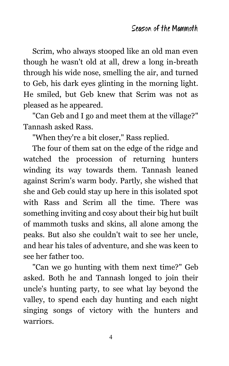Scrim, who always stooped like an old man even though he wasn't old at all, drew a long in-breath through his wide nose, smelling the air, and turned to Geb, his dark eyes glinting in the morning light. He smiled, but Geb knew that Scrim was not as pleased as he appeared.

"Can Geb and I go and meet them at the village?" Tannash asked Rass.

"When they're a bit closer," Rass replied.

The four of them sat on the edge of the ridge and watched the procession of returning hunters winding its way towards them. Tannash leaned against Scrim's warm body. Partly, she wished that she and Geb could stay up here in this isolated spot with Rass and Scrim all the time. There was something inviting and cosy about their big hut built of mammoth tusks and skins, all alone among the peaks. But also she couldn't wait to see her uncle, and hear his tales of adventure, and she was keen to see her father too.

"Can we go hunting with them next time?" Geb asked. Both he and Tannash longed to join their uncle's hunting party, to see what lay beyond the valley, to spend each day hunting and each night singing songs of victory with the hunters and warriors.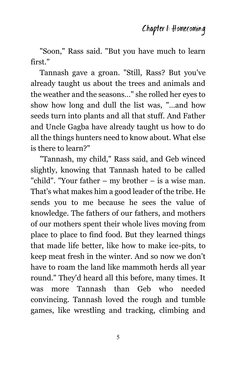"Soon," Rass said. "But you have much to learn first."

Tannash gave a groan. "Still, Rass? But you've already taught us about the trees and animals and the weather and the seasons…" she rolled her eyes to show how long and dull the list was, "…and how seeds turn into plants and all that stuff. And Father and Uncle Gagba have already taught us how to do all the things hunters need to know about. What else is there to learn?"

"Tannash, my child," Rass said, and Geb winced slightly, knowing that Tannash hated to be called "child". "Your father – my brother – is a wise man. That's what makes him a good leader of the tribe. He sends you to me because he sees the value of knowledge. The fathers of our fathers, and mothers of our mothers spent their whole lives moving from place to place to find food. But they learned things that made life better, like how to make ice-pits, to keep meat fresh in the winter. And so now we don't have to roam the land like mammoth herds all year round." They'd heard all this before, many times. It was more Tannash than Geb who needed convincing. Tannash loved the rough and tumble games, like wrestling and tracking, climbing and

5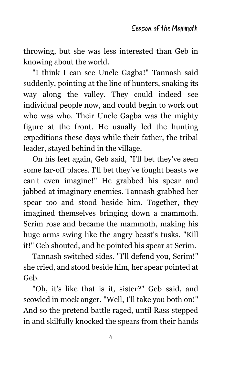throwing, but she was less interested than Geb in knowing about the world.

"I think I can see Uncle Gagba!" Tannash said suddenly, pointing at the line of hunters, snaking its way along the valley. They could indeed see individual people now, and could begin to work out who was who. Their Uncle Gagba was the mighty figure at the front. He usually led the hunting expeditions these days while their father, the tribal leader, stayed behind in the village.

On his feet again, Geb said, "I'll bet they've seen some far-off places. I'll bet they've fought beasts we can't even imagine!" He grabbed his spear and jabbed at imaginary enemies. Tannash grabbed her spear too and stood beside him. Together, they imagined themselves bringing down a mammoth. Scrim rose and became the mammoth, making his huge arms swing like the angry beast's tusks. "Kill it!" Geb shouted, and he pointed his spear at Scrim.

Tannash switched sides. "I'll defend you, Scrim!" she cried, and stood beside him, her spear pointed at Geb.

"Oh, it's like that is it, sister?" Geb said, and scowled in mock anger. "Well, I'll take you both on!" And so the pretend battle raged, until Rass stepped in and skilfully knocked the spears from their hands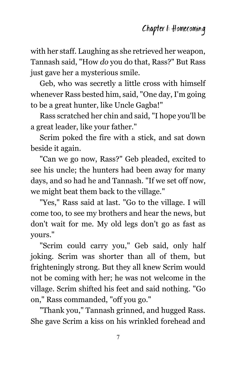with her staff. Laughing as she retrieved her weapon, Tannash said, "How *do* you do that, Rass?" But Rass just gave her a mysterious smile.

Geb, who was secretly a little cross with himself whenever Rass bested him, said, "One day, I'm going to be a great hunter, like Uncle Gagba!"

Rass scratched her chin and said, "I hope you'll be a great leader, like your father."

Scrim poked the fire with a stick, and sat down beside it again.

"Can we go now, Rass?" Geb pleaded, excited to see his uncle; the hunters had been away for many days, and so had he and Tannash. "If we set off now, we might beat them back to the village."

"Yes," Rass said at last. "Go to the village. I will come too, to see my brothers and hear the news, but don't wait for me. My old legs don't go as fast as yours."

"Scrim could carry you," Geb said, only half joking. Scrim was shorter than all of them, but frighteningly strong. But they all knew Scrim would not be coming with her; he was not welcome in the village. Scrim shifted his feet and said nothing. "Go on," Rass commanded, "off you go."

"Thank you," Tannash grinned, and hugged Rass. She gave Scrim a kiss on his wrinkled forehead and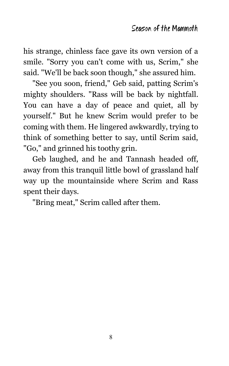his strange, chinless face gave its own version of a smile. "Sorry you can't come with us, Scrim," she said. "We'll be back soon though," she assured him.

"See you soon, friend," Geb said, patting Scrim's mighty shoulders. "Rass will be back by nightfall. You can have a day of peace and quiet, all by yourself." But he knew Scrim would prefer to be coming with them. He lingered awkwardly, trying to think of something better to say, until Scrim said, "Go," and grinned his toothy grin.

Geb laughed, and he and Tannash headed off, away from this tranquil little bowl of grassland half way up the mountainside where Scrim and Rass spent their days.

"Bring meat," Scrim called after them.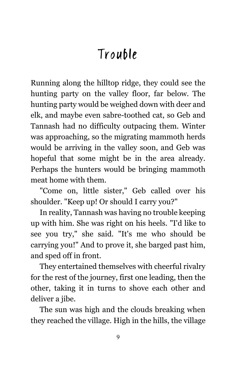### Trouble

Running along the hilltop ridge, they could see the hunting party on the valley floor, far below. The hunting party would be weighed down with deer and elk, and maybe even sabre-toothed cat, so Geb and Tannash had no difficulty outpacing them. Winter was approaching, so the migrating mammoth herds would be arriving in the valley soon, and Geb was hopeful that some might be in the area already. Perhaps the hunters would be bringing mammoth meat home with them.

"Come on, little sister," Geb called over his shoulder. "Keep up! Or should I carry you?"

In reality, Tannash was having no trouble keeping up with him. She was right on his heels. "I'd like to see you try," she said. "It's me who should be carrying you!" And to prove it, she barged past him, and sped off in front.

They entertained themselves with cheerful rivalry for the rest of the journey, first one leading, then the other, taking it in turns to shove each other and deliver a jibe.

The sun was high and the clouds breaking when they reached the village. High in the hills, the village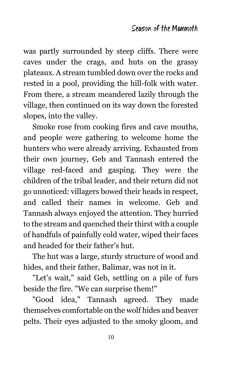was partly surrounded by steep cliffs. There were caves under the crags, and huts on the grassy plateaux. A stream tumbled down over the rocks and rested in a pool, providing the hill-folk with water. From there, a stream meandered lazily through the village, then continued on its way down the forested slopes, into the valley.

Smoke rose from cooking fires and cave mouths, and people were gathering to welcome home the hunters who were already arriving. Exhausted from their own journey, Geb and Tannash entered the village red-faced and gasping. They were the children of the tribal leader, and their return did not go unnoticed: villagers bowed their heads in respect, and called their names in welcome. Geb and Tannash always enjoyed the attention. They hurried to the stream and quenched their thirst with a couple of handfuls of painfully cold water, wiped their faces and headed for their father's hut.

The hut was a large, sturdy structure of wood and hides, and their father, Balimar, was not in it.

"Let's wait," said Geb, settling on a pile of furs beside the fire. "We can surprise them!"

"Good idea," Tannash agreed. They made themselves comfortable on the wolf hides and beaver pelts. Their eyes adjusted to the smoky gloom, and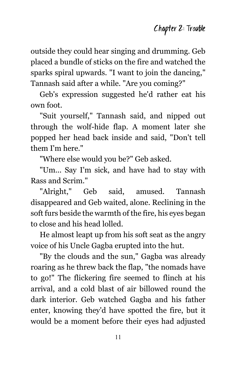outside they could hear singing and drumming. Geb placed a bundle of sticks on the fire and watched the sparks spiral upwards. "I want to join the dancing," Tannash said after a while. "Are you coming?"

Geb's expression suggested he'd rather eat his own foot.

"Suit yourself," Tannash said, and nipped out through the wolf-hide flap. A moment later she popped her head back inside and said, "Don't tell them I'm here."

"Where else would you be?" Geb asked.

"Um... Say I'm sick, and have had to stay with Rass and Scrim."

"Alright," Geb said, amused. Tannash disappeared and Geb waited, alone. Reclining in the soft furs beside the warmth of the fire, his eyes began to close and his head lolled.

He almost leapt up from his soft seat as the angry voice of his Uncle Gagba erupted into the hut.

"By the clouds and the sun," Gagba was already roaring as he threw back the flap, "the nomads have to go!" The flickering fire seemed to flinch at his arrival, and a cold blast of air billowed round the dark interior. Geb watched Gagba and his father enter, knowing they'd have spotted the fire, but it would be a moment before their eyes had adjusted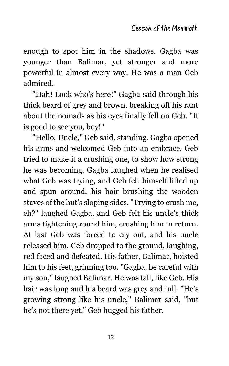enough to spot him in the shadows. Gagba was younger than Balimar, yet stronger and more powerful in almost every way. He was a man Geb admired.

"Hah! Look who's here!" Gagba said through his thick beard of grey and brown, breaking off his rant about the nomads as his eyes finally fell on Geb. "It is good to see you, boy!"

"Hello, Uncle," Geb said, standing. Gagba opened his arms and welcomed Geb into an embrace. Geb tried to make it a crushing one, to show how strong he was becoming. Gagba laughed when he realised what Geb was trying, and Geb felt himself lifted up and spun around, his hair brushing the wooden staves of the hut's sloping sides. "Trying to crush me, eh?" laughed Gagba, and Geb felt his uncle's thick arms tightening round him, crushing him in return. At last Geb was forced to cry out, and his uncle released him. Geb dropped to the ground, laughing, red faced and defeated. His father, Balimar, hoisted him to his feet, grinning too. "Gagba, be careful with my son," laughed Balimar. He was tall, like Geb. His hair was long and his beard was grey and full. "He's growing strong like his uncle," Balimar said, "but he's not there yet." Geb hugged his father.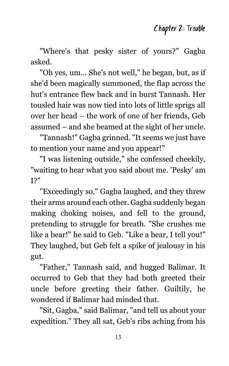"Where's that pesky sister of yours?" Gagba asked.

"Oh yes, um... She's not well," he began, but, as if she'd been magically summoned, the flap across the hut's entrance flew back and in burst Tannash. Her tousled hair was now tied into lots of little sprigs all over her head – the work of one of her friends, Geb assumed – and she beamed at the sight of her uncle.

"Tannash!" Gagba grinned. "It seems we just have to mention your name and you appear!"

"I was listening outside," she confessed cheekily, "waiting to hear what you said about me. 'Pesky' am I?"

"Exceedingly so," Gagba laughed, and they threw their arms around each other. Gagba suddenly began making choking noises, and fell to the ground, pretending to struggle for breath. "She crushes me like a bear!" he said to Geb. "Like a bear, I tell you!" They laughed, but Geb felt a spike of jealousy in his gut.

"Father," Tannash said, and hugged Balimar. It occurred to Geb that they had both greeted their uncle before greeting their father. Guiltily, he wondered if Balimar had minded that.

"Sit, Gagba," said Balimar, "and tell us about your expedition." They all sat, Geb's ribs aching from his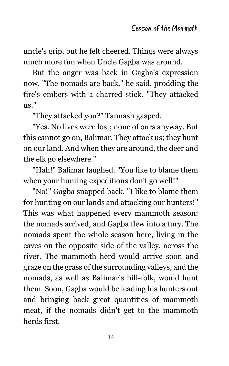uncle's grip, but he felt cheered. Things were always much more fun when Uncle Gagba was around.

But the anger was back in Gagba's expression now. "The nomads are back," he said, prodding the fire's embers with a charred stick. "They attacked us."

"They attacked you?" Tannash gasped.

"Yes. No lives were lost; none of ours anyway. But this cannot go on, Balimar. They attack us; they hunt on our land. And when they are around, the deer and the elk go elsewhere."

"Hah!" Balimar laughed. "You like to blame them when your hunting expeditions don't go well!"

"No!" Gagba snapped back. "I like to blame them for hunting on our lands and attacking our hunters!" This was what happened every mammoth season: the nomads arrived, and Gagba flew into a fury. The nomads spent the whole season here, living in the caves on the opposite side of the valley, across the river. The mammoth herd would arrive soon and graze on the grass of the surrounding valleys, and the nomads, as well as Balimar's hill-folk, would hunt them. Soon, Gagba would be leading his hunters out and bringing back great quantities of mammoth meat, if the nomads didn't get to the mammoth herds first.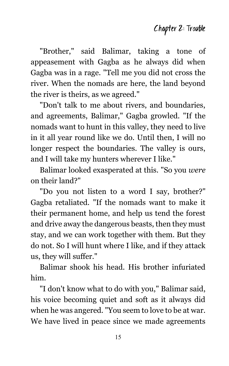"Brother," said Balimar, taking a tone of appeasement with Gagba as he always did when Gagba was in a rage. "Tell me you did not cross the river. When the nomads are here, the land beyond the river is theirs, as we agreed."

"Don't talk to me about rivers, and boundaries, and agreements, Balimar," Gagba growled. "If the nomads want to hunt in this valley, they need to live in it all year round like we do. Until then, I will no longer respect the boundaries. The valley is ours, and I will take my hunters wherever I like."

Balimar looked exasperated at this. "So you *were* on their land?"

"Do you not listen to a word I say, brother?" Gagba retaliated. "If the nomads want to make it their permanent home, and help us tend the forest and drive away the dangerous beasts, then they must stay, and we can work together with them. But they do not. So I will hunt where I like, and if they attack us, they will suffer."

Balimar shook his head. His brother infuriated him.

"I don't know what to do with you," Balimar said, his voice becoming quiet and soft as it always did when he was angered. "You seem to love to be at war. We have lived in peace since we made agreements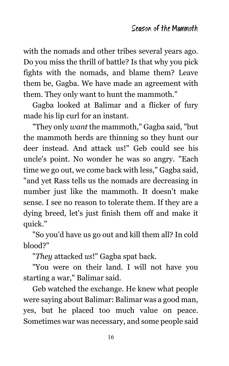with the nomads and other tribes several years ago. Do you miss the thrill of battle? Is that why you pick fights with the nomads, and blame them? Leave them be, Gagba. We have made an agreement with them. They only want to hunt the mammoth."

Gagba looked at Balimar and a flicker of fury made his lip curl for an instant.

"They only *want* the mammoth," Gagba said, "but the mammoth herds are thinning so they hunt our deer instead. And attack us!" Geb could see his uncle's point. No wonder he was so angry. "Each time we go out, we come back with less," Gagba said, "and yet Rass tells us the nomads are decreasing in number just like the mammoth. It doesn't make sense. I see no reason to tolerate them. If they are a dying breed, let's just finish them off and make it quick."

"So you'd have us go out and kill them all? In cold blood?"

"*They* attacked *us*!" Gagba spat back.

"You were on their land. I will not have you starting a war," Balimar said.

Geb watched the exchange. He knew what people were saying about Balimar: Balimar was a good man, yes, but he placed too much value on peace. Sometimes war was necessary, and some people said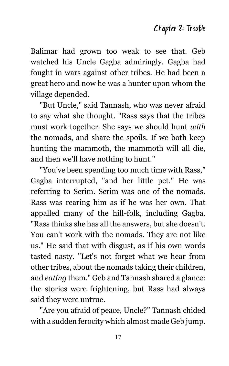Balimar had grown too weak to see that. Geb watched his Uncle Gagba admiringly. Gagba had fought in wars against other tribes. He had been a great hero and now he was a hunter upon whom the village depended.

"But Uncle," said Tannash, who was never afraid to say what she thought. "Rass says that the tribes must work together. She says we should hunt *with* the nomads, and share the spoils. If we both keep hunting the mammoth, the mammoth will all die, and then we'll have nothing to hunt."

"You've been spending too much time with Rass," Gagba interrupted, "and her little pet." He was referring to Scrim. Scrim was one of the nomads. Rass was rearing him as if he was her own. That appalled many of the hill-folk, including Gagba. "Rass thinks she has all the answers, but she doesn't. You can't work with the nomads. They are not like us." He said that with disgust, as if his own words tasted nasty. "Let's not forget what we hear from other tribes, about the nomads taking their children, and *eating* them." Geb and Tannash shared a glance: the stories were frightening, but Rass had always said they were untrue.

"Are you afraid of peace, Uncle?" Tannash chided with a sudden ferocity which almost made Geb jump.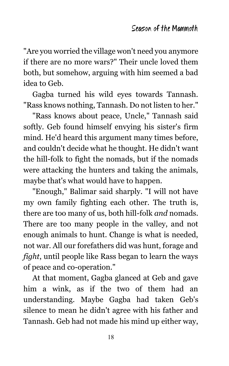"Are you worried the village won't need you anymore if there are no more wars?" Their uncle loved them both, but somehow, arguing with him seemed a bad idea to Geb.

Gagba turned his wild eyes towards Tannash. "Rass knows nothing, Tannash. Do not listen to her."

"Rass knows about peace, Uncle," Tannash said softly. Geb found himself envying his sister's firm mind. He'd heard this argument many times before, and couldn't decide what he thought. He didn't want the hill-folk to fight the nomads, but if the nomads were attacking the hunters and taking the animals, maybe that's what would have to happen.

"Enough," Balimar said sharply. "I will not have my own family fighting each other. The truth is, there are too many of us, both hill-folk *and* nomads. There are too many people in the valley, and not enough animals to hunt. Change is what is needed, not war. All our forefathers did was hunt, forage and *fight*, until people like Rass began to learn the ways of peace and co-operation."

At that moment, Gagba glanced at Geb and gave him a wink, as if the two of them had an understanding. Maybe Gagba had taken Geb's silence to mean he didn't agree with his father and Tannash. Geb had not made his mind up either way,